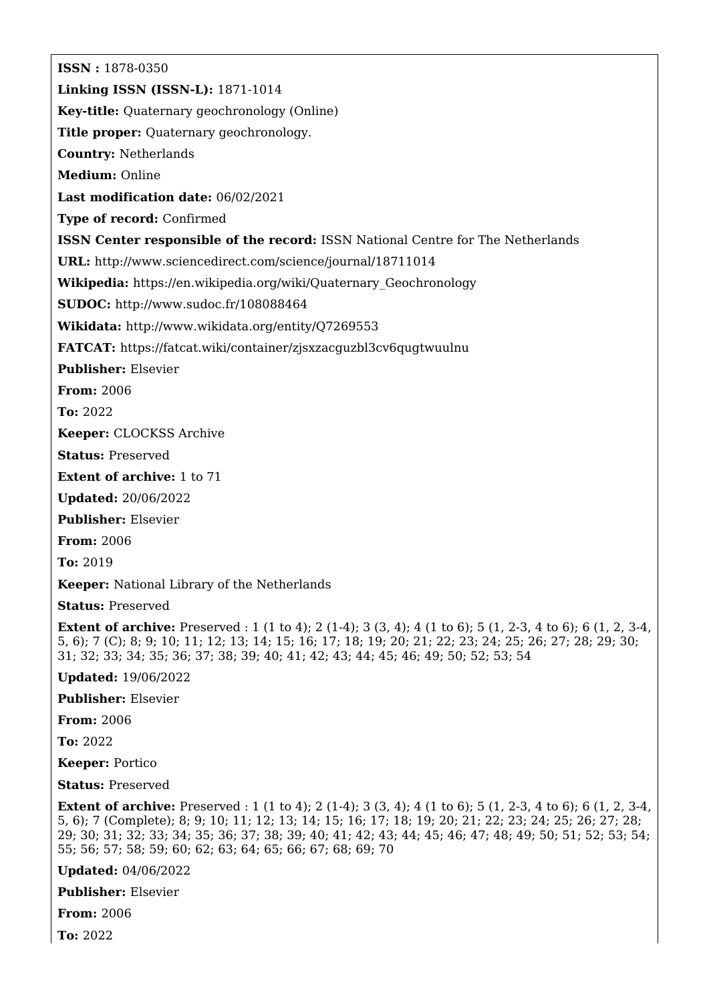**ISSN :** 1878-0350 **Linking ISSN (ISSN-L):** 1871-1014 **Key-title:** Quaternary geochronology (Online) **Title proper:** Quaternary geochronology. **Country:** Netherlands **Medium:** Online **Last modification date:** 06/02/2021 **Type of record:** Confirmed **ISSN Center responsible of the record:** ISSN National Centre for The Netherlands **URL:** <http://www.sciencedirect.com/science/journal/18711014> **Wikipedia:** [https://en.wikipedia.org/wiki/Quaternary\\_Geochronology](https://en.wikipedia.org/wiki/Quaternary_Geochronology) **SUDOC:** <http://www.sudoc.fr/108088464> **Wikidata:** <http://www.wikidata.org/entity/Q7269553> **FATCAT:** <https://fatcat.wiki/container/zjsxzacguzbl3cv6qugtwuulnu> **Publisher:** Elsevier **From:** 2006 **To:** 2022 **Keeper:** CLOCKSS Archive **Status:** Preserved **Extent of archive:** 1 to 71 **Updated:** 20/06/2022 **Publisher:** Elsevier **From:** 2006 **To:** 2019 **Keeper:** National Library of the Netherlands **Status:** Preserved **Extent of archive:** Preserved : 1 (1 to 4); 2 (1-4); 3 (3, 4); 4 (1 to 6); 5 (1, 2-3, 4 to 6); 6 (1, 2, 3-4, 5, 6); 7 (C); 8; 9; 10; 11; 12; 13; 14; 15; 16; 17; 18; 19; 20; 21; 22; 23; 24; 25; 26; 27; 28; 29; 30; 31; 32; 33; 34; 35; 36; 37; 38; 39; 40; 41; 42; 43; 44; 45; 46; 49; 50; 52; 53; 54 **Updated:** 19/06/2022 **Publisher:** Elsevier **From:** 2006 **To:** 2022 **Keeper:** Portico

**Status:** Preserved

**Extent of archive:** Preserved : 1 (1 to 4); 2 (1-4); 3 (3, 4); 4 (1 to 6); 5 (1, 2-3, 4 to 6); 6 (1, 2, 3-4, 5, 6); 7 (Complete); 8; 9; 10; 11; 12; 13; 14; 15; 16; 17; 18; 19; 20; 21; 22; 23; 24; 25; 26; 27; 28; 29; 30; 31; 32; 33; 34; 35; 36; 37; 38; 39; 40; 41; 42; 43; 44; 45; 46; 47; 48; 49; 50; 51; 52; 53; 54; 55; 56; 57; 58; 59; 60; 62; 63; 64; 65; 66; 67; 68; 69; 70

**Updated:** 04/06/2022

**Publisher:** Elsevier

**From:** 2006

**To:** 2022